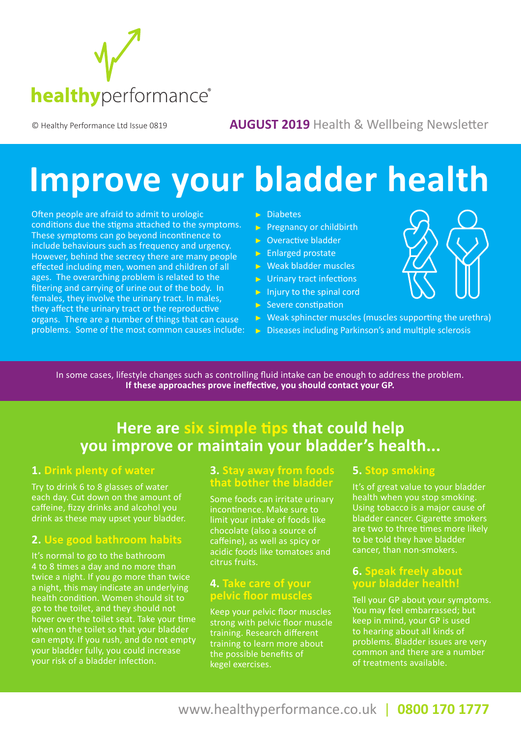

#### © Healthy Performance Ltd Issue 0819 **AUGUST 2019** Health & Wellbeing Newsletter

# **Improve your bladder health**

Often people are afraid to admit to urologic conditions due the stigma attached to the symptoms. These symptoms can go beyond incontinence to include behaviours such as frequency and urgency. However, behind the secrecy there are many people effected including men, women and children of all ages. The overarching problem is related to the filtering and carrying of urine out of the body. In females, they involve the urinary tract. In males, they affect the urinary tract or the reproductive organs. There are a number of things that can cause problems. Some of the most common causes include:

#### $\triangleright$  Diabetes

- $\triangleright$  Pregnancy or childbirth
- $\triangleright$  Overactive bladder
- $\triangleright$  Enlarged prostate
- Weak bladder muscles
- $\triangleright$  Urinary tract infections
- $\triangleright$  Injury to the spinal cord
- $\triangleright$  Severe constipation
- $\triangleright$  Weak sphincter muscles (muscles supporting the urethra)
- $\triangleright$  Diseases including Parkinson's and multiple sclerosis

In some cases, lifestyle changes such as controlling fluid intake can be enough to address the problem. **If these approaches prove ineffective, you should contact your GP.**

# **Here are six simple tips that could help you improve or maintain your bladder's health...**

#### **1. Drink plenty of water**

Try to drink 6 to 8 glasses of water each day. Cut down on the amount of caffeine, fizzy drinks and alcohol you drink as these may upset your bladder.

#### **2. Use good bathroom habits**

It's normal to go to the bathroom 4 to 8 times a day and no more than twice a night. If you go more than twice a night, this may indicate an underlying health condition. Women should sit to go to the toilet, and they should not hover over the toilet seat. Take your time when on the toilet so that your bladder can empty. If you rush, and do not empty your bladder fully, you could increase your risk of a bladder infection.

#### **3. Stay away from foods that bother the bladder**

Some foods can irritate urinary incontinence. Make sure to limit your intake of foods like chocolate (also a source of caffeine), as well as spicy or acidic foods like tomatoes and citrus fruits.

#### **4. Take care of your pelvic floor muscles**

Keep your pelvic floor muscles strong with pelvic floor muscle training. Research different training to learn more about the possible benefits of kegel exercises.

#### **5. Stop smoking**

It's of great value to your bladder health when you stop smoking. Using tobacco is a major cause of bladder cancer. Cigarette smokers are two to three times more likely to be told they have bladder cancer, than non-smokers.

#### **6. Speak freely about your bladder health!**

Tell your GP about your symptoms. You may feel embarrassed; but keep in mind, your GP is used to hearing about all kinds of problems. Bladder issues are very common and there are a number of treatments available.